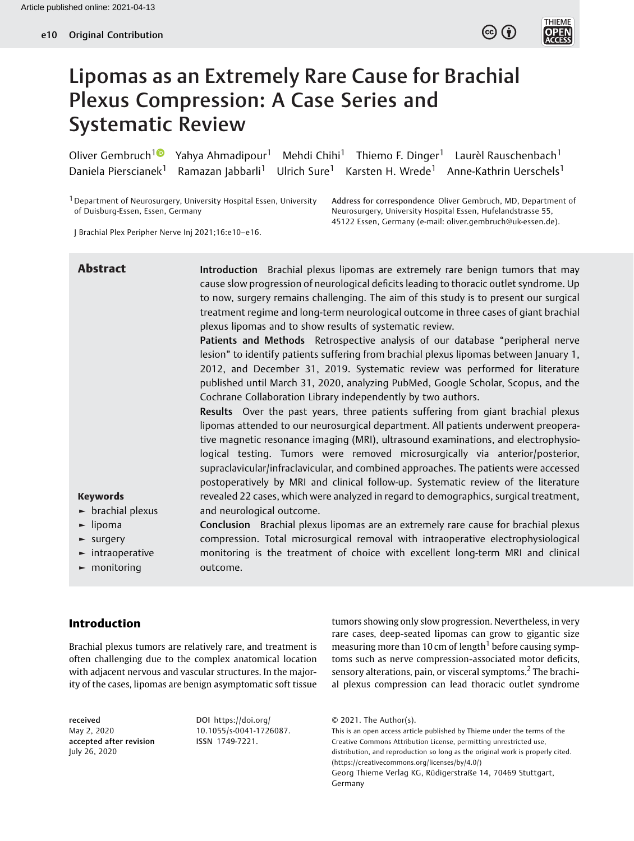



# Lipomas as an Extremely Rare Cause for Brachial Plexus Compression: A Case Series and Systematic Review

Oliver Gembruch<sup>1</sup> Yahya Ahmadipour<sup>1</sup> Mehdi Chihi<sup>1</sup> Thiemo F. Dinger<sup>1</sup> Laurèl Rauschenbach<sup>1</sup> Daniela Pierscianek<sup>1</sup> Ramazan Jabbarli<sup>1</sup> Ulrich Sure<sup>1</sup> Karsten H. Wrede<sup>1</sup> Anne-Kathrin Uerschels<sup>1</sup>

1Department of Neurosurgery, University Hospital Essen, University of Duisburg-Essen, Essen, Germany

Address for correspondence Oliver Gembruch, MD, Department of Neurosurgery, University Hospital Essen, Hufelandstrasse 55, 45122 Essen, Germany (e-mail: [oliver.gembruch@uk-essen.de](mailto:oliver.gembruch@uk-essen.de)).

J Brachial Plex Peripher Nerve Inj 2021;16:e10–e16.

| <b>Abstract</b>                       | Introduction Brachial plexus lipomas are extremely rare benign tumors that may<br>cause slow progression of neurological deficits leading to thoracic outlet syndrome. Up<br>to now, surgery remains challenging. The aim of this study is to present our surgical<br>treatment regime and long-term neurological outcome in three cases of giant brachial<br>plexus lipomas and to show results of systematic review.<br>Patients and Methods Retrospective analysis of our database "peripheral nerve<br>lesion" to identify patients suffering from brachial plexus lipomas between January 1,<br>2012, and December 31, 2019. Systematic review was performed for literature<br>published until March 31, 2020, analyzing PubMed, Google Scholar, Scopus, and the<br>Cochrane Collaboration Library independently by two authors.<br>Results Over the past years, three patients suffering from giant brachial plexus<br>lipomas attended to our neurosurgical department. All patients underwent preopera-<br>tive magnetic resonance imaging (MRI), ultrasound examinations, and electrophysio-<br>logical testing. Tumors were removed microsurgically via anterior/posterior,<br>supraclavicular/infraclavicular, and combined approaches. The patients were accessed<br>postoperatively by MRI and clinical follow-up. Systematic review of the literature |
|---------------------------------------|---------------------------------------------------------------------------------------------------------------------------------------------------------------------------------------------------------------------------------------------------------------------------------------------------------------------------------------------------------------------------------------------------------------------------------------------------------------------------------------------------------------------------------------------------------------------------------------------------------------------------------------------------------------------------------------------------------------------------------------------------------------------------------------------------------------------------------------------------------------------------------------------------------------------------------------------------------------------------------------------------------------------------------------------------------------------------------------------------------------------------------------------------------------------------------------------------------------------------------------------------------------------------------------------------------------------------------------------------------------------|
| <b>Keywords</b>                       | revealed 22 cases, which were analyzed in regard to demographics, surgical treatment,                                                                                                                                                                                                                                                                                                                                                                                                                                                                                                                                                                                                                                                                                                                                                                                                                                                                                                                                                                                                                                                                                                                                                                                                                                                                               |
| $\blacktriangleright$ brachial plexus | and neurological outcome.                                                                                                                                                                                                                                                                                                                                                                                                                                                                                                                                                                                                                                                                                                                                                                                                                                                                                                                                                                                                                                                                                                                                                                                                                                                                                                                                           |
| $\blacktriangleright$ lipoma          | Conclusion Brachial plexus lipomas are an extremely rare cause for brachial plexus                                                                                                                                                                                                                                                                                                                                                                                                                                                                                                                                                                                                                                                                                                                                                                                                                                                                                                                                                                                                                                                                                                                                                                                                                                                                                  |
| $\blacktriangleright$ surgery         | compression. Total microsurgical removal with intraoperative electrophysiological                                                                                                                                                                                                                                                                                                                                                                                                                                                                                                                                                                                                                                                                                                                                                                                                                                                                                                                                                                                                                                                                                                                                                                                                                                                                                   |
| $\blacktriangleright$ intraoperative  | monitoring is the treatment of choice with excellent long-term MRI and clinical                                                                                                                                                                                                                                                                                                                                                                                                                                                                                                                                                                                                                                                                                                                                                                                                                                                                                                                                                                                                                                                                                                                                                                                                                                                                                     |
| $\blacktriangleright$ monitoring      | outcome.                                                                                                                                                                                                                                                                                                                                                                                                                                                                                                                                                                                                                                                                                                                                                                                                                                                                                                                                                                                                                                                                                                                                                                                                                                                                                                                                                            |

# Introduction

Brachial plexus tumors are relatively rare, and treatment is often challenging due to the complex anatomical location with adjacent nervous and vascular structures. In the majority of the cases, lipomas are benign asymptomatic soft tissue

received May 2, 2020 accepted after revision July 26, 2020

DOI [https://doi.org/](https://doi.org/10.1055/s-0041-1726087) [10.1055/s-0041-1726087](https://doi.org/10.1055/s-0041-1726087). ISSN 1749-7221.

tumors showing only slow progression. Nevertheless, in very rare cases, deep-seated lipomas can grow to gigantic size measuring more than 10 cm of length<sup>1</sup> before causing symptoms such as nerve compression-associated motor deficits, sensory alterations, pain, or visceral symptoms.<sup>2</sup> The brachial plexus compression can lead thoracic outlet syndrome

This is an open access article published by Thieme under the terms of the Creative Commons Attribution License, permitting unrestricted use, distribution, and reproduction so long as the original work is properly cited. (https://creativecommons.org/licenses/by/4.0/) Georg Thieme Verlag KG, Rüdigerstraße 14, 70469 Stuttgart, Germany

<sup>© 2021.</sup> The Author(s).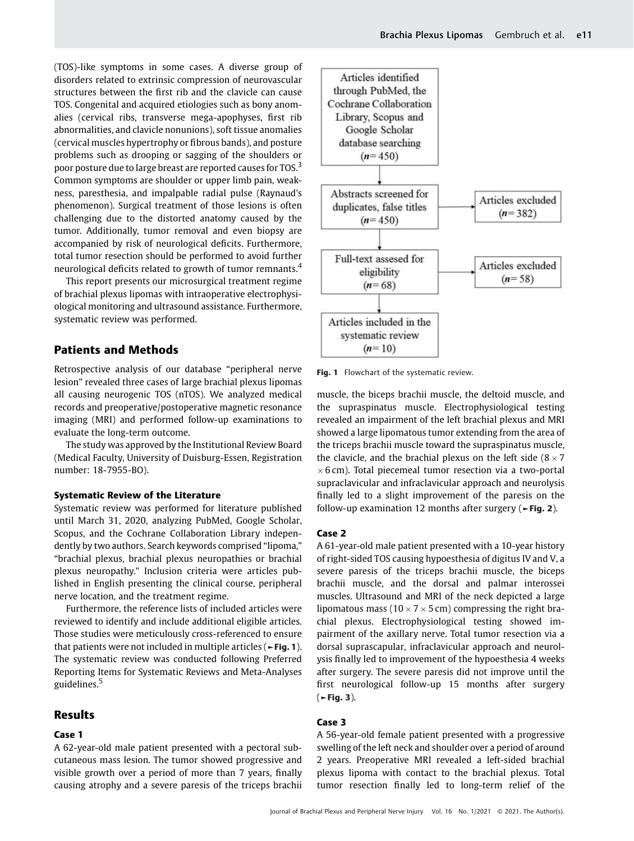(TOS)-like symptoms in some cases. A diverse group of disorders related to extrinsic compression of neurovascular structures between the first rib and the clavicle can cause TOS. Congenital and acquired etiologies such as bony anomalies (cervical ribs, transverse mega-apophyses, first rib abnormalities, and clavicle nonunions), soft tissue anomalies (cervical muscles hypertrophy or fibrous bands), and posture problems such as drooping or sagging of the shoulders or poor posture due to large breast are reported causes for TOS.<sup>3</sup> Common symptoms are shoulder or upper limb pain, weakness, paresthesia, and impalpable radial pulse (Raynaud's phenomenon). Surgical treatment of those lesions is often challenging due to the distorted anatomy caused by the tumor. Additionally, tumor removal and even biopsy are accompanied by risk of neurological deficits. Furthermore, total tumor resection should be performed to avoid further neurological deficits related to growth of tumor remnants.<sup>4</sup>

This report presents our microsurgical treatment regime of brachial plexus lipomas with intraoperative electrophysiological monitoring and ultrasound assistance. Furthermore, systematic review was performed.

# Patients and Methods

Retrospective analysis of our database "peripheral nerve lesion" revealed three cases of large brachial plexus lipomas all causing neurogenic TOS (nTOS). We analyzed medical records and preoperative/postoperative magnetic resonance imaging (MRI) and performed follow-up examinations to evaluate the long-term outcome.

The study was approved by the Institutional Review Board (Medical Faculty, University of Duisburg-Essen, Registration number: 18-7955-BO).

#### Systematic Review of the Literature

Systematic review was performed for literature published until March 31, 2020, analyzing PubMed, Google Scholar, Scopus, and the Cochrane Collaboration Library independently by two authors. Search keywords comprised "lipoma," "brachial plexus, brachial plexus neuropathies or brachial plexus neuropathy." Inclusion criteria were articles published in English presenting the clinical course, peripheral nerve location, and the treatment regime.

Furthermore, the reference lists of included articles were reviewed to identify and include additional eligible articles. Those studies were meticulously cross-referenced to ensure that patients were not included in multiple articles ( $\blacktriangleright$ Fig. 1). The systematic review was conducted following Preferred Reporting Items for Systematic Reviews and Meta-Analyses guidelines.<sup>5</sup>

## Results

#### Case 1

A 62-year-old male patient presented with a pectoral subcutaneous mass lesion. The tumor showed progressive and visible growth over a period of more than 7 years, finally causing atrophy and a severe paresis of the triceps brachii



Fig. 1 Flowchart of the systematic review.

muscle, the biceps brachii muscle, the deltoid muscle, and the supraspinatus muscle. Electrophysiological testing revealed an impairment of the left brachial plexus and MRI showed a large lipomatous tumor extending from the area of the triceps brachii muscle toward the supraspinatus muscle, the clavicle, and the brachial plexus on the left side  $(8 \times 7)$  $\times$  6 cm). Total piecemeal tumor resection via a two-portal supraclavicular and infraclavicular approach and neurolysis finally led to a slight improvement of the paresis on the follow-up examination 12 months after surgery ( $\blacktriangleright$ Fig. 2).

#### Case 2

A 61-year-old male patient presented with a 10-year history of right-sided TOS causing hypoesthesia of digitus IV and V, a severe paresis of the triceps brachii muscle, the biceps brachii muscle, and the dorsal and palmar interossei muscles. Ultrasound and MRI of the neck depicted a large lipomatous mass (10  $\times$  7  $\times$  5 cm) compressing the right brachial plexus. Electrophysiological testing showed impairment of the axillary nerve. Total tumor resection via a dorsal suprascapular, infraclavicular approach and neurolysis finally led to improvement of the hypoesthesia 4 weeks after surgery. The severe paresis did not improve until the first neurological follow-up 15 months after surgery  $($   $\blacktriangleright$  Fig. 3).

#### Case 3

A 56-year-old female patient presented with a progressive swelling of the left neck and shoulder over a period of around 2 years. Preoperative MRI revealed a left-sided brachial plexus lipoma with contact to the brachial plexus. Total tumor resection finally led to long-term relief of the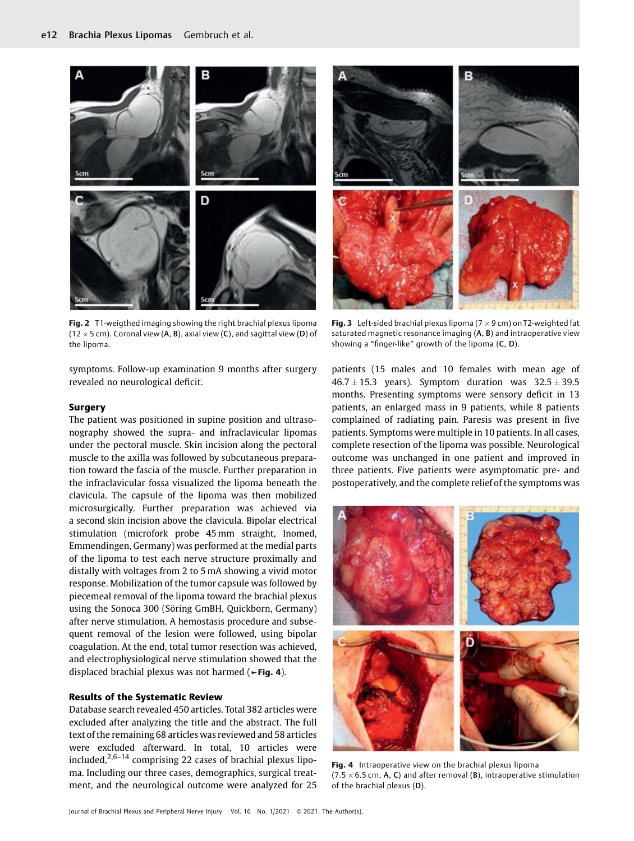

Fig. 2 T1-weigthed imaging showing the right brachial plexus lipoma (12  $\times$  5 cm). Coronal view (A, B), axial view (C), and sagittal view (D) of the lipoma.

symptoms. Follow-up examination 9 months after surgery revealed no neurological deficit.

## **Surgery**

The patient was positioned in supine position and ultrasonography showed the supra- and infraclavicular lipomas under the pectoral muscle. Skin incision along the pectoral muscle to the axilla was followed by subcutaneous preparation toward the fascia of the muscle. Further preparation in the infraclavicular fossa visualized the lipoma beneath the clavicula. The capsule of the lipoma was then mobilized microsurgically. Further preparation was achieved via a second skin incision above the clavicula. Bipolar electrical stimulation (microfork probe 45 mm straight, Inomed, Emmendingen, Germany) was performed at the medial parts of the lipoma to test each nerve structure proximally and distally with voltages from 2 to 5 mA showing a vivid motor response. Mobilization of the tumor capsule was followed by piecemeal removal of the lipoma toward the brachial plexus using the Sonoca 300 (Söring GmBH, Quickborn, Germany) after nerve stimulation. A hemostasis procedure and subsequent removal of the lesion were followed, using bipolar coagulation. At the end, total tumor resection was achieved, and electrophysiological nerve stimulation showed that the displaced brachial plexus was not harmed (►Fig. 4).

#### Results of the Systematic Review

Database search revealed 450 articles. Total 382 articles were excluded after analyzing the title and the abstract. The full text of the remaining 68 articles was reviewed and 58 articles were excluded afterward. In total, 10 articles were included, $2.6-14$  comprising 22 cases of brachial plexus lipoma. Including our three cases, demographics, surgical treatment, and the neurological outcome were analyzed for 25



Fig. 3 Left-sided brachial plexus lipoma ( $7 \times 9$  cm) on T2-weighted fat saturated magnetic resonance imaging (A, B) and intraoperative view showing a "finger-like" growth of the lipoma (C, D).

patients (15 males and 10 females with mean age of  $46.7 \pm 15.3$  years). Symptom duration was  $32.5 \pm 39.5$ months. Presenting symptoms were sensory deficit in 13 patients, an enlarged mass in 9 patients, while 8 patients complained of radiating pain. Paresis was present in five patients. Symptoms were multiple in 10 patients. In all cases, complete resection of the lipoma was possible. Neurological outcome was unchanged in one patient and improved in three patients. Five patients were asymptomatic pre- and postoperatively, and the complete relief of the symptoms was



Fig. 4 Intraoperative view on the brachial plexus lipoma (7.5  $\times$  6.5 cm, A, C) and after removal (B), intraoperative stimulation of the brachial plexus (D).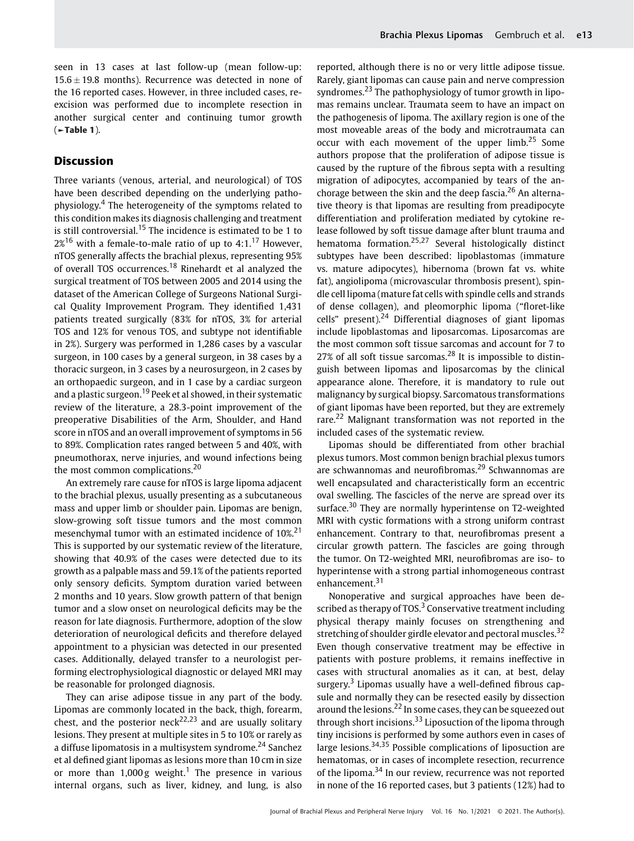seen in 13 cases at last follow-up (mean follow-up:  $15.6 \pm 19.8$  months). Recurrence was detected in none of the 16 reported cases. However, in three included cases, reexcision was performed due to incomplete resection in another surgical center and continuing tumor growth  $($   $\blacktriangleright$  Table 1).

# **Discussion**

Three variants (venous, arterial, and neurological) of TOS have been described depending on the underlying pathophysiology.<sup>4</sup> The heterogeneity of the symptoms related to this condition makes its diagnosis challenging and treatment is still controversial.<sup>15</sup> The incidence is estimated to be 1 to  $2\%$ <sup>16</sup> with a female-to-male ratio of up to 4:1.<sup>17</sup> However, nTOS generally affects the brachial plexus, representing 95% of overall TOS occurrences.<sup>18</sup> Rinehardt et al analyzed the surgical treatment of TOS between 2005 and 2014 using the dataset of the American College of Surgeons National Surgical Quality Improvement Program. They identified 1,431 patients treated surgically (83% for nTOS, 3% for arterial TOS and 12% for venous TOS, and subtype not identifiable in 2%). Surgery was performed in 1,286 cases by a vascular surgeon, in 100 cases by a general surgeon, in 38 cases by a thoracic surgeon, in 3 cases by a neurosurgeon, in 2 cases by an orthopaedic surgeon, and in 1 case by a cardiac surgeon and a plastic surgeon.<sup>19</sup> Peek et al showed, in their systematic review of the literature, a 28.3-point improvement of the preoperative Disabilities of the Arm, Shoulder, and Hand score in nTOS and an overall improvement of symptoms in 56 to 89%. Complication rates ranged between 5 and 40%, with pneumothorax, nerve injuries, and wound infections being the most common complications.<sup>20</sup>

An extremely rare cause for nTOS is large lipoma adjacent to the brachial plexus, usually presenting as a subcutaneous mass and upper limb or shoulder pain. Lipomas are benign, slow-growing soft tissue tumors and the most common mesenchymal tumor with an estimated incidence of 10%.<sup>21</sup> This is supported by our systematic review of the literature, showing that 40.9% of the cases were detected due to its growth as a palpable mass and 59.1% of the patients reported only sensory deficits. Symptom duration varied between 2 months and 10 years. Slow growth pattern of that benign tumor and a slow onset on neurological deficits may be the reason for late diagnosis. Furthermore, adoption of the slow deterioration of neurological deficits and therefore delayed appointment to a physician was detected in our presented cases. Additionally, delayed transfer to a neurologist performing electrophysiological diagnostic or delayed MRI may be reasonable for prolonged diagnosis.

They can arise adipose tissue in any part of the body. Lipomas are commonly located in the back, thigh, forearm, chest, and the posterior neck<sup>22,23</sup> and are usually solitary lesions. They present at multiple sites in 5 to 10% or rarely as a diffuse lipomatosis in a multisystem syndrome.<sup>24</sup> Sanchez et al defined giant lipomas as lesions more than 10 cm in size or more than  $1,000 g$  weight.<sup>1</sup> The presence in various internal organs, such as liver, kidney, and lung, is also reported, although there is no or very little adipose tissue. Rarely, giant lipomas can cause pain and nerve compression syndromes.<sup>23</sup> The pathophysiology of tumor growth in lipomas remains unclear. Traumata seem to have an impact on the pathogenesis of lipoma. The axillary region is one of the most moveable areas of the body and microtraumata can occur with each movement of the upper limb.<sup>25</sup> Some authors propose that the proliferation of adipose tissue is caused by the rupture of the fibrous septa with a resulting migration of adipocytes, accompanied by tears of the anchorage between the skin and the deep fascia.<sup>26</sup> An alternative theory is that lipomas are resulting from preadipocyte differentiation and proliferation mediated by cytokine release followed by soft tissue damage after blunt trauma and hematoma formation.25,27 Several histologically distinct subtypes have been described: lipoblastomas (immature vs. mature adipocytes), hibernoma (brown fat vs. white fat), angiolipoma (microvascular thrombosis present), spindle cell lipoma (mature fat cells with spindle cells and strands of dense collagen), and pleomorphic lipoma ("floret-like cells" present).<sup>24</sup> Differential diagnoses of giant lipomas include lipoblastomas and liposarcomas. Liposarcomas are the most common soft tissue sarcomas and account for 7 to 27% of all soft tissue sarcomas.<sup>28</sup> It is impossible to distinguish between lipomas and liposarcomas by the clinical appearance alone. Therefore, it is mandatory to rule out malignancy by surgical biopsy. Sarcomatous transformations of giant lipomas have been reported, but they are extremely rare.<sup>22</sup> Malignant transformation was not reported in the included cases of the systematic review.

Lipomas should be differentiated from other brachial plexus tumors. Most common benign brachial plexus tumors are schwannomas and neurofibromas.<sup>29</sup> Schwannomas are well encapsulated and characteristically form an eccentric oval swelling. The fascicles of the nerve are spread over its surface.<sup>30</sup> They are normally hyperintense on T2-weighted MRI with cystic formations with a strong uniform contrast enhancement. Contrary to that, neurofibromas present a circular growth pattern. The fascicles are going through the tumor. On T2-weighted MRI, neurofibromas are iso- to hyperintense with a strong partial inhomogeneous contrast enhancement.<sup>31</sup>

Nonoperative and surgical approaches have been described as therapy of TOS. $3$  Conservative treatment including physical therapy mainly focuses on strengthening and stretching of shoulder girdle elevator and pectoral muscles.<sup>32</sup> Even though conservative treatment may be effective in patients with posture problems, it remains ineffective in cases with structural anomalies as it can, at best, delay surgery.<sup>3</sup> Lipomas usually have a well-defined fibrous capsule and normally they can be resected easily by dissection around the lesions.<sup>22</sup> In some cases, they can be squeezed out through short incisions.<sup>33</sup> Liposuction of the lipoma through tiny incisions is performed by some authors even in cases of large lesions.<sup>34,35</sup> Possible complications of liposuction are hematomas, or in cases of incomplete resection, recurrence of the lipoma.<sup>34</sup> In our review, recurrence was not reported in none of the 16 reported cases, but 3 patients (12%) had to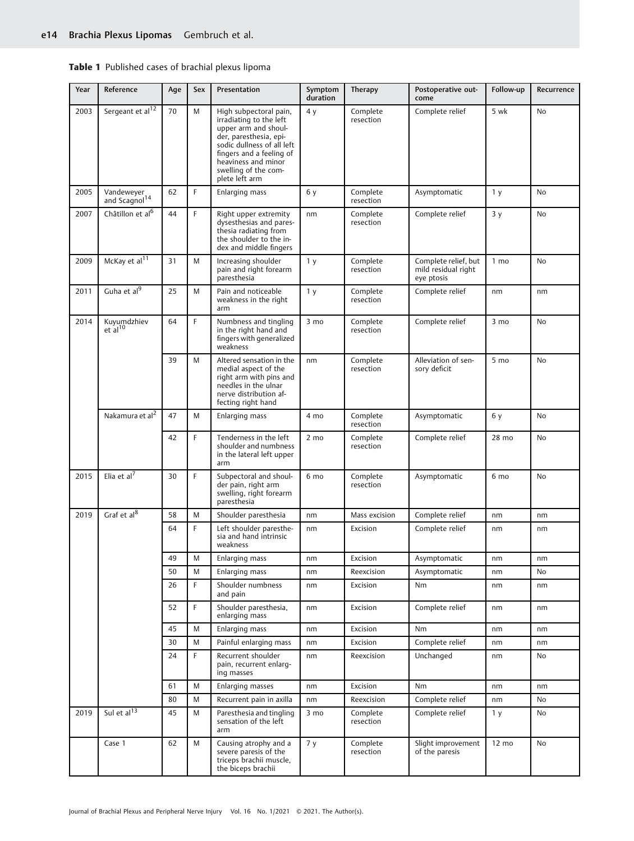| Year | Reference                               | Age | Sex | Presentation                                                                                                                                                                                                                   | Symptom<br>duration | Therapy               | Postoperative out-<br>come                                | Follow-up       | Recurrence |
|------|-----------------------------------------|-----|-----|--------------------------------------------------------------------------------------------------------------------------------------------------------------------------------------------------------------------------------|---------------------|-----------------------|-----------------------------------------------------------|-----------------|------------|
| 2003 | Sergeant et al <sup>12</sup>            | 70  | M   | High subpectoral pain,<br>irradiating to the left<br>upper arm and shoul-<br>der, paresthesia, epi-<br>sodic dullness of all left<br>fingers and a feeling of<br>heaviness and minor<br>swelling of the com-<br>plete left arm | 4y                  | Complete<br>resection | Complete relief                                           | 5 wk            | <b>No</b>  |
| 2005 | Vandeweyer<br>and Scagnol <sup>14</sup> | 62  | F   | Enlarging mass                                                                                                                                                                                                                 | 6у                  | Complete<br>resection | Asymptomatic                                              | 1 <sub>y</sub>  | No         |
| 2007 | Châtillon et al <sup>6</sup>            | 44  | F   | Right upper extremity<br>dysesthesias and pares-<br>thesia radiating from<br>the shoulder to the in-<br>dex and middle fingers                                                                                                 | nm                  | Complete<br>resection | Complete relief                                           | 3y              | No         |
| 2009 | McKay et al <sup>11</sup>               | 31  | M   | Increasing shoulder<br>pain and right forearm<br>paresthesia                                                                                                                                                                   | 1 <sub>y</sub>      | Complete<br>resection | Complete relief, but<br>mild residual right<br>eye ptosis | 1 <sub>mo</sub> | <b>No</b>  |
| 2011 | Guha et al9                             | 25  | M   | Pain and noticeable<br>weakness in the right<br>arm                                                                                                                                                                            | 1 <sub>y</sub>      | Complete<br>resection | Complete relief                                           | nm              | nm         |
| 2014 | Kuyumdzhiev<br>$et$ al <sup>10</sup>    | 64  | F   | Numbness and tingling<br>in the right hand and<br>fingers with generalized<br>weakness                                                                                                                                         | $3 \text{ mo}$      | Complete<br>resection | Complete relief                                           | $3 \text{ mo}$  | No         |
|      |                                         | 39  | M   | Altered sensation in the<br>medial aspect of the<br>right arm with pins and<br>needles in the ulnar<br>nerve distribution af-<br>fecting right hand                                                                            | nm                  | Complete<br>resection | Alleviation of sen-<br>sory deficit                       | 5 mo            | No         |
|      | Nakamura et al <sup>2</sup>             | 47  | M   | Enlarging mass                                                                                                                                                                                                                 | 4 mo                | Complete<br>resection | Asymptomatic                                              | 6 y             | No         |
|      |                                         | 42  | F   | Tenderness in the left<br>shoulder and numbness<br>in the lateral left upper<br>arm                                                                                                                                            | $2 \text{ mo}$      | Complete<br>resection | Complete relief                                           | 28 mo           | No.        |
| 2015 | Elia et $a^{7}$                         | 30  | F   | Subpectoral and shoul-<br>der pain, right arm<br>swelling, right forearm<br>paresthesia                                                                                                                                        | 6 mo                | Complete<br>resection | Asymptomatic                                              | 6 mo            | <b>No</b>  |
| 2019 | Graf et al $8$                          | 58  | M   | Shoulder paresthesia                                                                                                                                                                                                           | nm                  | Mass excision         | Complete relief                                           | nm              | nm         |
|      |                                         | 64  | F   | Left shoulder paresthe-<br>sia and hand intrinsic<br>weakness                                                                                                                                                                  | nm                  | Excision              | Complete relief                                           | nm              | nm         |
|      |                                         | 49  | M   | Enlarging mass                                                                                                                                                                                                                 | nm                  | Excision              | Asymptomatic                                              | nm              | nm         |
|      |                                         | 50  | M   | Enlarging mass                                                                                                                                                                                                                 | nm                  | Reexcision            | Asymptomatic                                              | nm              | No         |
|      |                                         | 26  | F.  | Shoulder numbness<br>and pain                                                                                                                                                                                                  | nm                  | Excision              | Nm                                                        | nm              | nm         |
|      |                                         | 52  | F   | Shoulder paresthesia,<br>enlarging mass                                                                                                                                                                                        | nm                  | Excision              | Complete relief                                           | nm              | nm         |
|      |                                         | 45  | M   | Enlarging mass                                                                                                                                                                                                                 | nm                  | Excision              | Nm                                                        | nm              | nm         |
|      |                                         | 30  | M   | Painful enlarging mass                                                                                                                                                                                                         | nm                  | Excision              | Complete relief                                           | nm              | nm         |
|      |                                         | 24  | F.  | Recurrent shoulder<br>pain, recurrent enlarg-<br>ing masses                                                                                                                                                                    | nm                  | Reexcision            | Unchanged                                                 | nm              | No         |
|      |                                         | 61  | M   | <b>Enlarging masses</b>                                                                                                                                                                                                        | nm                  | Excision              | Nm                                                        | nm              | nm         |
|      |                                         | 80  | M   | Recurrent pain in axilla                                                                                                                                                                                                       | nm                  | Reexcision            | Complete relief                                           | nm              | No         |
| 2019 | Sul et al $^{13}$                       | 45  | M   | Paresthesia and tingling<br>sensation of the left<br>arm                                                                                                                                                                       | 3 mo                | Complete<br>resection | Complete relief                                           | 1 <sub>y</sub>  | No         |
|      | Case 1                                  | 62  | M   | Causing atrophy and a<br>severe paresis of the<br>triceps brachii muscle,<br>the biceps brachii                                                                                                                                | 7y                  | Complete<br>resection | Slight improvement<br>of the paresis                      | $12 \text{ mo}$ | No         |

|  | Table 1 Published cases of brachial plexus lipoma |
|--|---------------------------------------------------|
|  |                                                   |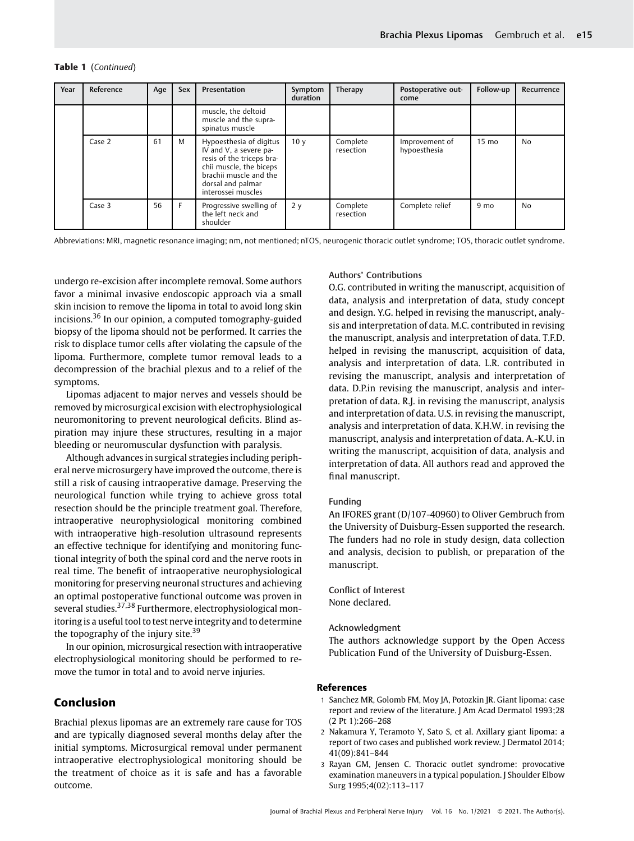|  | Table 1 (Continued) |
|--|---------------------|
|--|---------------------|

| Year | Reference | Age | Sex | Presentation                                                                                                                                                                   | Symptom<br>duration | Therapy               | Postoperative out-<br>come     | Follow-up       | Recurrence |
|------|-----------|-----|-----|--------------------------------------------------------------------------------------------------------------------------------------------------------------------------------|---------------------|-----------------------|--------------------------------|-----------------|------------|
|      |           |     |     | muscle, the deltoid<br>muscle and the supra-<br>spinatus muscle                                                                                                                |                     |                       |                                |                 |            |
|      | Case 2    | 61  | M   | Hypoesthesia of digitus<br>IV and V, a severe pa-<br>resis of the triceps bra-<br>chii muscle, the biceps<br>brachii muscle and the<br>dorsal and palmar<br>interossei muscles | 10 <sub>V</sub>     | Complete<br>resection | Improvement of<br>hypoesthesia | $15 \text{ mo}$ | No         |
|      | Case 3    | 56  | F   | Progressive swelling of<br>the left neck and<br>shoulder                                                                                                                       | 2y                  | Complete<br>resection | Complete relief                | $9 \text{ mo}$  | No         |

Abbreviations: MRI, magnetic resonance imaging; nm, not mentioned; nTOS, neurogenic thoracic outlet syndrome; TOS, thoracic outlet syndrome.

undergo re-excision after incomplete removal. Some authors favor a minimal invasive endoscopic approach via a small skin incision to remove the lipoma in total to avoid long skin incisions.<sup>36</sup> In our opinion, a computed tomography-guided biopsy of the lipoma should not be performed. It carries the risk to displace tumor cells after violating the capsule of the lipoma. Furthermore, complete tumor removal leads to a decompression of the brachial plexus and to a relief of the symptoms.

Lipomas adjacent to major nerves and vessels should be removed by microsurgical excision with electrophysiological neuromonitoring to prevent neurological deficits. Blind aspiration may injure these structures, resulting in a major bleeding or neuromuscular dysfunction with paralysis.

Although advances in surgical strategies including peripheral nerve microsurgery have improved the outcome, there is still a risk of causing intraoperative damage. Preserving the neurological function while trying to achieve gross total resection should be the principle treatment goal. Therefore, intraoperative neurophysiological monitoring combined with intraoperative high-resolution ultrasound represents an effective technique for identifying and monitoring functional integrity of both the spinal cord and the nerve roots in real time. The benefit of intraoperative neurophysiological monitoring for preserving neuronal structures and achieving an optimal postoperative functional outcome was proven in several studies.37,38 Furthermore, electrophysiological monitoring is a useful tool to test nerve integrity and to determine the topography of the injury site.<sup>39</sup>

In our opinion, microsurgical resection with intraoperative electrophysiological monitoring should be performed to remove the tumor in total and to avoid nerve injuries.

# Conclusion

Brachial plexus lipomas are an extremely rare cause for TOS and are typically diagnosed several months delay after the initial symptoms. Microsurgical removal under permanent intraoperative electrophysiological monitoring should be the treatment of choice as it is safe and has a favorable outcome.

## Authors' Contributions

O.G. contributed in writing the manuscript, acquisition of data, analysis and interpretation of data, study concept and design. Y.G. helped in revising the manuscript, analysis and interpretation of data. M.C. contributed in revising the manuscript, analysis and interpretation of data. T.F.D. helped in revising the manuscript, acquisition of data, analysis and interpretation of data. L.R. contributed in revising the manuscript, analysis and interpretation of data. D.P.in revising the manuscript, analysis and interpretation of data. R.J. in revising the manuscript, analysis and interpretation of data. U.S. in revising the manuscript, analysis and interpretation of data. K.H.W. in revising the manuscript, analysis and interpretation of data. A.-K.U. in writing the manuscript, acquisition of data, analysis and interpretation of data. All authors read and approved the final manuscript.

### Funding

An IFORES grant (D/107-40960) to Oliver Gembruch from the University of Duisburg-Essen supported the research. The funders had no role in study design, data collection and analysis, decision to publish, or preparation of the manuscript.

Conflict of Interest None declared.

# Acknowledgment

The authors acknowledge support by the Open Access Publication Fund of the University of Duisburg-Essen.

## References

- 1 Sanchez MR, Golomb FM, Moy JA, Potozkin JR. Giant lipoma: case report and review of the literature. J Am Acad Dermatol 1993;28 (2 Pt 1):266–268
- 2 Nakamura Y, Teramoto Y, Sato S, et al. Axillary giant lipoma: a report of two cases and published work review. J Dermatol 2014; 41(09):841–844
- 3 Rayan GM, Jensen C. Thoracic outlet syndrome: provocative examination maneuvers in a typical population. J Shoulder Elbow Surg 1995;4(02):113–117